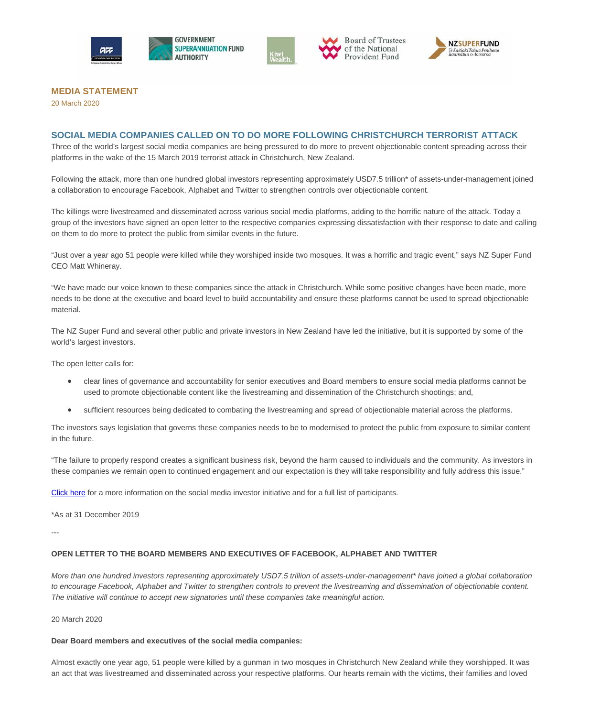



Board of Trustees of the National Provident Fund



# **MEDIA STATEMENT**

20 March 2020

## **SOCIAL MEDIA COMPANIES CALLED ON TO DO MORE FOLLOWING CHRISTCHURCH TERRORIST ATTACK**

Three of the world's largest social media companies are being pressured to do more to prevent objectionable content spreading across their platforms in the wake of the 15 March 2019 terrorist attack in Christchurch, New Zealand.

Following the attack, more than one hundred global investors representing approximately USD7.5 trillion\* of assets-under-management joined a collaboration to encourage Facebook, Alphabet and Twitter to strengthen controls over objectionable content.

The killings were livestreamed and disseminated across various social media platforms, adding to the horrific nature of the attack. Today a group of the investors have signed an open letter to the respective companies expressing dissatisfaction with their response to date and calling on them to do more to protect the public from similar events in the future.

"Just over a year ago 51 people were killed while they worshiped inside two mosques. It was a horrific and tragic event," says NZ Super Fund CEO Matt Whineray.

"We have made our voice known to these companies since the attack in Christchurch. While some positive changes have been made, more needs to be done at the executive and board level to build accountability and ensure these platforms cannot be used to spread objectionable material.

The NZ Super Fund and several other public and private investors in New Zealand have led the initiative, but it is supported by some of the world's largest investors.

The open letter calls for:

- clear lines of governance and accountability for senior executives and Board members to ensure social media platforms cannot be used to promote objectionable content like the livestreaming and dissemination of the Christchurch shootings; and,
- sufficient resources being dedicated to combating the livestreaming and spread of objectionable material across the platforms.

The investors says legislation that governs these companies needs to be to modernised to protect the public from exposure to similar content in the future.

"The failure to properly respond creates a significant business risk, beyond the harm caused to individuals and the community. As investors in these companies we remain open to continued engagement and our expectation is they will take responsibility and fully address this issue."

[Click here](https://www.nzsuperfund.nz/how-we-invest-responsible-investment-collaboration/social-media-collaborative-engagement) for a more information on the social media investor initiative and for a full list of participants.

\*As at 31 December 2019

---

### **OPEN LETTER TO THE BOARD MEMBERS AND EXECUTIVES OF FACEBOOK, ALPHABET AND TWITTER**

*More than one hundred investors representing approximately USD7.5 trillion of assets-under-management\* have joined a global collaboration to encourage Facebook, Alphabet and Twitter to strengthen controls to prevent the livestreaming and dissemination of objectionable content. The initiative will continue to accept new signatories until these companies take meaningful action.*

20 March 2020

### **Dear Board members and executives of the social media companies:**

Almost exactly one year ago, 51 people were killed by a gunman in two mosques in Christchurch New Zealand while they worshipped. It was an act that was livestreamed and disseminated across your respective platforms. Our hearts remain with the victims, their families and loved